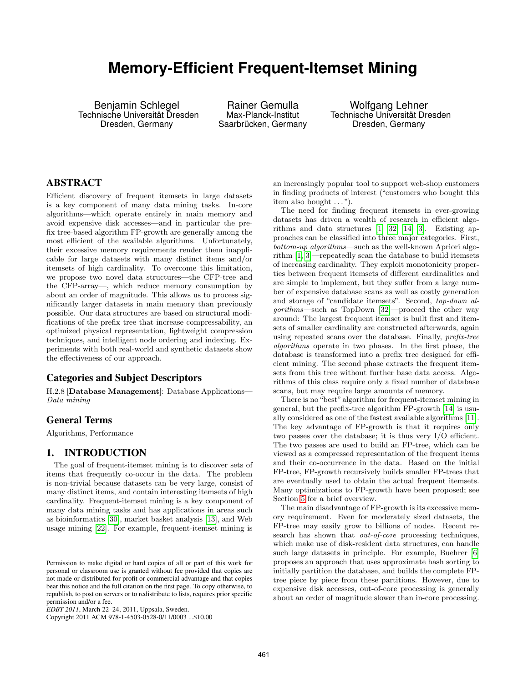# **Memory-Efficient Frequent-Itemset Mining**

Benjamin Schlegel Technische Universität Dresden Dresden, Germany

Rainer Gemulla Max-Planck-Institut Saarbrücken, Germany

Wolfgang Lehner Technische Universität Dresden Dresden, Germany

# ABSTRACT

Efficient discovery of frequent itemsets in large datasets is a key component of many data mining tasks. In-core algorithms—which operate entirely in main memory and avoid expensive disk accesses—and in particular the prefix tree-based algorithm FP-growth are generally among the most efficient of the available algorithms. Unfortunately, their excessive memory requirements render them inapplicable for large datasets with many distinct items and/or itemsets of high cardinality. To overcome this limitation, we propose two novel data structures—the CFP-tree and the CFP-array—, which reduce memory consumption by about an order of magnitude. This allows us to process significantly larger datasets in main memory than previously possible. Our data structures are based on structural modifications of the prefix tree that increase compressability, an optimized physical representation, lightweight compression techniques, and intelligent node ordering and indexing. Experiments with both real-world and synthetic datasets show the effectiveness of our approach.

# Categories and Subject Descriptors

H.2.8 [Database Management]: Database Applications— Data mining

## General Terms

Algorithms, Performance

## 1. INTRODUCTION

The goal of frequent-itemset mining is to discover sets of items that frequently co-occur in the data. The problem is non-trivial because datasets can be very large, consist of many distinct items, and contain interesting itemsets of high cardinality. Frequent-itemset mining is a key component of many data mining tasks and has applications in areas such as bioinformatics [\[30\]](#page-11-0), market basket analysis [\[13\]](#page-11-1), and Web usage mining [\[22\]](#page-11-2). For example, frequent-itemset mining is

an increasingly popular tool to support web-shop customers in finding products of interest ("customers who bought this item also bought . . . ").

The need for finding frequent itemsets in ever-growing datasets has driven a wealth of research in efficient algorithms and data structures [\[1,](#page-10-0) [32,](#page-11-3) [14,](#page-11-4) [3\]](#page-10-1). Existing approaches can be classified into three major categories. First, bottom-up algorithms—such as the well-known Apriori algorithm [\[1,](#page-10-0) [3\]](#page-10-1)—repeatedly scan the database to build itemsets of increasing cardinality. They exploit monotonicity properties between frequent itemsets of different cardinalities and are simple to implement, but they suffer from a large number of expensive database scans as well as costly generation and storage of "candidate itemsets". Second, top-down algorithms—such as TopDown [\[32\]](#page-11-3)—proceed the other way around: The largest frequent itemset is built first and itemsets of smaller cardinality are constructed afterwards, again using repeated scans over the database. Finally, prefix-tree algorithms operate in two phases. In the first phase, the database is transformed into a prefix tree designed for efficient mining. The second phase extracts the frequent itemsets from this tree without further base data access. Algorithms of this class require only a fixed number of database scans, but may require large amounts of memory.

There is no "best" algorithm for frequent-itemset mining in general, but the prefix-tree algorithm FP-growth [\[14\]](#page-11-4) is usually considered as one of the fastest available algorithms [\[11\]](#page-11-5). The key advantage of FP-growth is that it requires only two passes over the database; it is thus very I/O efficient. The two passes are used to build an FP-tree, which can be viewed as a compressed representation of the frequent items and their co-occurrence in the data. Based on the initial FP-tree, FP-growth recursively builds smaller FP-trees that are eventually used to obtain the actual frequent itemsets. Many optimizations to FP-growth have been proposed; see Section [5](#page-10-2) for a brief overview.

The main disadvantage of FP-growth is its excessive memory requirement. Even for moderately sized datasets, the FP-tree may easily grow to billions of nodes. Recent research has shown that out-of-core processing techniques, which make use of disk-resident data structures, can handle such large datasets in principle. For example, Buehrer [\[6\]](#page-10-3) proposes an approach that uses approximate hash sorting to initially partition the database, and builds the complete FPtree piece by piece from these partitions. However, due to expensive disk accesses, out-of-core processing is generally about an order of magnitude slower than in-core processing.

Permission to make digital or hard copies of all or part of this work for personal or classroom use is granted without fee provided that copies are not made or distributed for profit or commercial advantage and that copies bear this notice and the full citation on the first page. To copy otherwise, to republish, to post on servers or to redistribute to lists, requires prior specific permission and/or a fee.

*EDBT 2011*, March 22–24, 2011, Uppsala, Sweden.

Copyright 2011 ACM 978-1-4503-0528-0/11/0003 ...\$10.00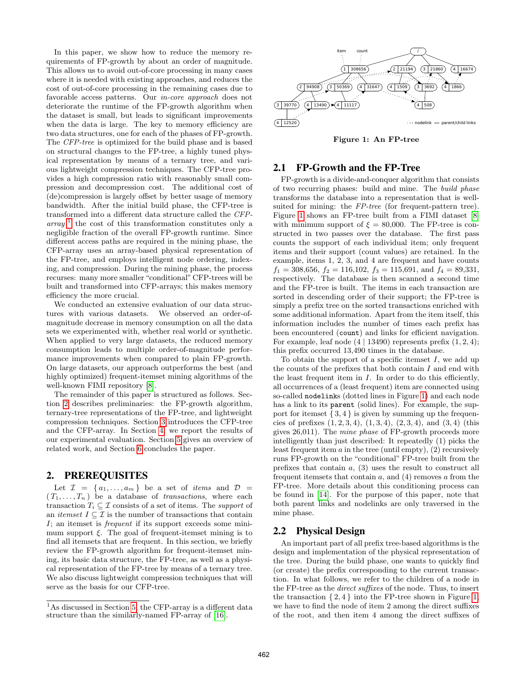In this paper, we show how to reduce the memory requirements of FP-growth by about an order of magnitude. This allows us to avoid out-of-core processing in many cases where it is needed with existing approaches, and reduces the cost of out-of-core processing in the remaining cases due to favorable access patterns. Our in-core approach does not deteriorate the runtime of the FP-growth algorithm when the dataset is small, but leads to significant improvements when the data is large. The key to memory efficiency are two data structures, one for each of the phases of FP-growth. The CFP-tree is optimized for the build phase and is based on structural changes to the FP-tree, a highly tuned physical representation by means of a ternary tree, and various lightweight compression techniques. The CFP-tree provides a high compression ratio with reasonably small compression and decompression cost. The additional cost of (de)compression is largely offset by better usage of memory bandwidth. After the initial build phase, the CFP-tree is transformed into a different data structure called the CFP $array;$ <sup>[1](#page-1-0)</sup> the cost of this transformation constitutes only a negligible fraction of the overall FP-growth runtime. Since different access paths are required in the mining phase, the CFP-array uses an array-based physical representation of the FP-tree, and employs intelligent node ordering, indexing, and compression. During the mining phase, the process recurses: many more smaller "conditional" CFP-trees will be built and transformed into CFP-arrays; this makes memory efficiency the more crucial.

We conducted an extensive evaluation of our data structures with various datasets. We observed an order-ofmagnitude decrease in memory consumption on all the data sets we experimented with, whether real world or synthetic. When applied to very large datasets, the reduced memory consumption leads to multiple order-of-magnitude performance improvements when compared to plain FP-growth. On large datasets, our approach outperforms the best (and highly optimized) frequent-itemset mining algorithms of the well-known FIMI repository [\[8\]](#page-11-6).

The remainder of this paper is structured as follows. Section [2](#page-1-1) describes preliminaries: the FP-growth algorithm, ternary-tree representations of the FP-tree, and lightweight compression techniques. Section [3](#page-2-0) introduces the CFP-tree and the CFP-array. In Section [4,](#page-6-0) we report the results of our experimental evaluation. Section [5](#page-10-2) gives an overview of related work, and Section [6](#page-10-4) concludes the paper.

# <span id="page-1-1"></span>2. PREREQUISITES

Let  $\mathcal{I} = \{a_1, \ldots, a_m\}$  be a set of *items* and  $\mathcal{D} =$  $(T_1, \ldots, T_n)$  be a database of *transactions*, where each transaction  $T_i \subseteq \mathcal{I}$  consists of a set of items. The *support* of an *itemset*  $I \subseteq \mathcal{I}$  is the number of transactions that contain I; an itemset is frequent if its support exceeds some minimum support  $\xi$ . The goal of frequent-itemset mining is to find all itemsets that are frequent. In this section, we briefly review the FP-growth algorithm for frequent-itemset mining, its basic data structure, the FP-tree, as well as a physical representation of the FP-tree by means of a ternary tree. We also discuss lightweight compression techniques that will serve as the basis for our CFP-tree.



<span id="page-1-2"></span>Figure 1: An FP-tree

## 2.1 FP-Growth and the FP-Tree

FP-growth is a divide-and-conquer algorithm that consists of two recurring phases: build and mine. The build phase transforms the database into a representation that is wellsuited for mining: the FP-tree (for frequent-pattern tree). Figure [1](#page-1-2) shows an FP-tree built from a FIMI dataset [\[8\]](#page-11-6) with minimum support of  $\xi = 80,000$ . The FP-tree is constructed in two passes over the database. The first pass counts the support of each individual item; only frequent items and their support (count values) are retained. In the example, items 1, 2, 3, and 4 are frequent and have counts  $f_1 = 308,656, f_2 = 116,102, f_3 = 115,691, \text{ and } f_4 = 89,331,$ respectively. The database is then scanned a second time and the FP-tree is built. The items in each transaction are sorted in descending order of their support; the FP-tree is simply a prefix tree on the sorted transactions enriched with some additional information. Apart from the item itself, this information includes the number of times each prefix has been encountered (count) and links for efficient navigation. For example, leaf node  $(4 | 13490)$  represents prefix  $(1, 2, 4)$ ; this prefix occurred 13,490 times in the database.

To obtain the support of a specific itemset  $I$ , we add up the counts of the prefixes that both contain  $I$  and end with the least frequent item in  $I$ . In order to do this efficiently, all occurrences of a (least frequent) item are connected using so-called nodelinks (dotted lines in Figure [1\)](#page-1-2) and each node has a link to its parent (solid lines). For example, the support for itemset  $\{3,4\}$  is given by summing up the frequencies of prefixes  $(1, 2, 3, 4)$ ,  $(1, 3, 4)$ ,  $(2, 3, 4)$ , and  $(3, 4)$  (this gives 26,011). The mine phase of FP-growth proceeds more intelligently than just described: It repeatedly (1) picks the least frequent item  $a$  in the tree (until empty),  $(2)$  recursively runs FP-growth on the "conditional" FP-tree built from the prefixes that contain  $a$ ,  $(3)$  uses the result to construct all frequent itemsets that contain  $a$ , and  $(4)$  removes  $a$  from the FP-tree. More details about this conditioning process can be found in [\[14\]](#page-11-4). For the purpose of this paper, note that both parent links and nodelinks are only traversed in the mine phase.

## 2.2 Physical Design

An important part of all prefix tree-based algorithms is the design and implementation of the physical representation of the tree. During the build phase, one wants to quickly find (or create) the prefix corresponding to the current transaction. In what follows, we refer to the children of a node in the FP-tree as the direct suffixes of the node. Thus, to insert the transaction  $\{2,4\}$  into the FP-tree shown in Figure [1,](#page-1-2) we have to find the node of item 2 among the direct suffixes of the root, and then item 4 among the direct suffixes of

<span id="page-1-0"></span> $1<sup>1</sup>$ As discussed in Section [5,](#page-10-2) the CFP-array is a different data structure than the similarly-named FP-array of [\[16\]](#page-11-7).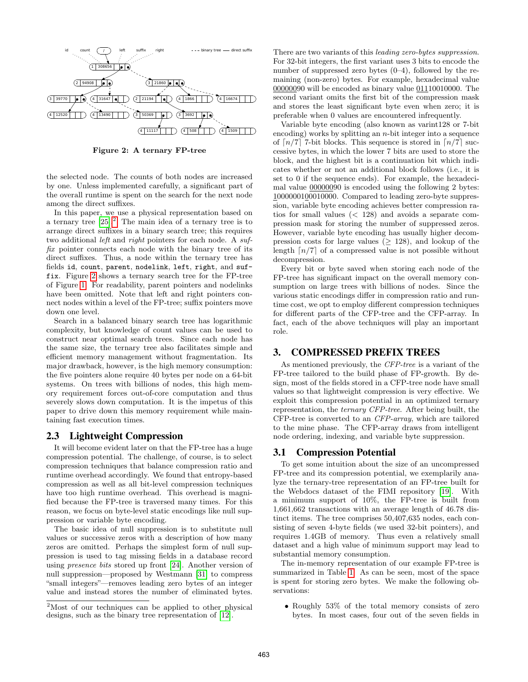

<span id="page-2-2"></span>Figure 2: A ternary FP-tree

the selected node. The counts of both nodes are increased by one. Unless implemented carefully, a significant part of the overall runtime is spent on the search for the next node among the direct suffixes.

In this paper, we use a physical representation based on a ternary tree  $[25]$ .<sup>[2](#page-2-1)</sup> The main idea of a ternary tree is to arrange direct suffixes in a binary search tree; this requires two additional *left* and *right* pointers for each node. A *suf* $fix$  pointer connects each node with the binary tree of its direct suffixes. Thus, a node within the ternary tree has fields id, count, parent, nodelink, left, right, and suffix. Figure [2](#page-2-2) shows a ternary search tree for the FP-tree of Figure [1.](#page-1-2) For readability, parent pointers and nodelinks have been omitted. Note that left and right pointers connect nodes within a level of the FP-tree; suffix pointers move down one level.

Search in a balanced binary search tree has logarithmic complexity, but knowledge of count values can be used to construct near optimal search trees. Since each node has the same size, the ternary tree also facilitates simple and efficient memory management without fragmentation. Its major drawback, however, is the high memory consumption: the five pointers alone require 40 bytes per node on a 64-bit systems. On trees with billions of nodes, this high memory requirement forces out-of-core computation and thus severely slows down computation. It is the impetus of this paper to drive down this memory requirement while maintaining fast execution times.

## 2.3 Lightweight Compression

It will become evident later on that the FP-tree has a huge compression potential. The challenge, of course, is to select compression techniques that balance compression ratio and runtime overhead accordingly. We found that entropy-based compression as well as all bit-level compression techniques have too high runtime overhead. This overhead is magnified because the FP-tree is traversed many times. For this reason, we focus on byte-level static encodings like null suppression or variable byte encoding.

The basic idea of null suppression is to substitute null values or successive zeros with a description of how many zeros are omitted. Perhaps the simplest form of null suppression is used to tag missing fields in a database record using presence bits stored up front [\[24\]](#page-11-9). Another version of null suppression—proposed by Westmann [\[31\]](#page-11-10) to compress "small integers"—removes leading zero bytes of an integer value and instead stores the number of eliminated bytes.

There are two variants of this *leading zero-bytes suppression*. For 32-bit integers, the first variant uses 3 bits to encode the number of suppressed zero bytes  $(0-4)$ , followed by the remaining (non-zero) bytes. For example, hexadecimal value 00000090 will be encoded as binary value 01110010000. The second variant omits the first bit of the compression mask and stores the least significant byte even when zero; it is preferable when 0 values are encountered infrequently.

Variable byte encoding (also known as varint128 or 7-bit encoding) works by splitting an  $n$ -bit integer into a sequence of  $\lceil n/7 \rceil$  7-bit blocks. This sequence is stored in  $\lceil n/7 \rceil$  successive bytes, in which the lower 7 bits are used to store the block, and the highest bit is a continuation bit which indicates whether or not an additional block follows (i.e., it is set to 0 if the sequence ends). For example, the hexadecimal value 00000090 is encoded using the following 2 bytes: 1000000100010000. Compared to leading zero-byte suppression, variable byte encoding achieves better compression ratios for small values  $\langle \langle 128 \rangle$  and avoids a separate compression mask for storing the number of suppressed zeros. However, variable byte encoding has usually higher decompression costs for large values ( $\geq$  128), and lookup of the length  $\lceil n/7 \rceil$  of a compressed value is not possible without decompression.

Every bit or byte saved when storing each node of the FP-tree has significant impact on the overall memory consumption on large trees with billions of nodes. Since the various static encodings differ in compression ratio and runtime cost, we opt to employ different compression techniques for different parts of the CFP-tree and the CFP-array. In fact, each of the above techniques will play an important role.

## <span id="page-2-0"></span>3. COMPRESSED PREFIX TREES

As mentioned previously, the CFP-tree is a variant of the FP-tree tailored to the build phase of FP-growth. By design, most of the fields stored in a CFP-tree node have small values so that lightweight compression is very effective. We exploit this compression potential in an optimized ternary representation, the ternary CFP-tree. After being built, the CFP-tree is converted to an CFP-array, which are tailored to the mine phase. The CFP-array draws from intelligent node ordering, indexing, and variable byte suppression.

### 3.1 Compression Potential

To get some intuition about the size of an uncompressed FP-tree and its compression potential, we exemplarily analyze the ternary-tree representation of an FP-tree built for the Webdocs dataset of the FIMI repository [\[19\]](#page-11-12). With a minimum support of 10%, the FP-tree is built from 1,661,662 transactions with an average length of 46.78 distinct items. The tree comprises 50,407,635 nodes, each consisting of seven 4-byte fields (we used 32-bit pointers), and requires 1.4GB of memory. Thus even a relatively small dataset and a high value of minimum support may lead to substantial memory consumption.

The in-memory representation of our example FP-tree is summarized in Table [1.](#page-3-0) As can be seen, most of the space is spent for storing zero bytes. We make the following observations:

• Roughly 53% of the total memory consists of zero bytes. In most cases, four out of the seven fields in

<span id="page-2-1"></span><sup>2</sup>Most of our techniques can be applied to other physical designs, such as the binary tree representation of [\[12\]](#page-11-11).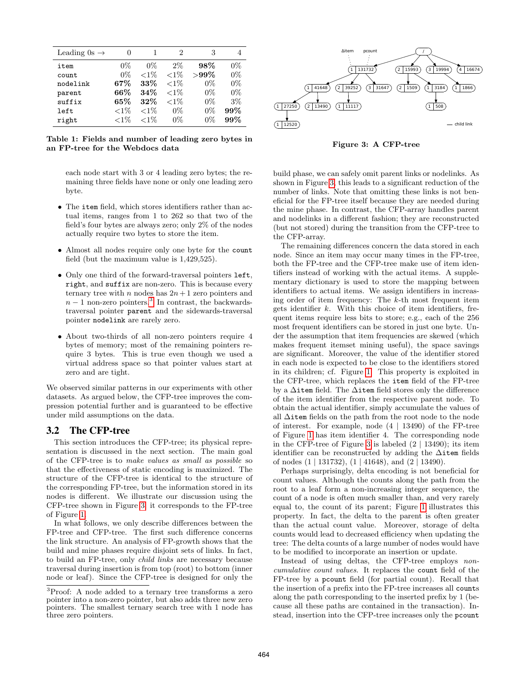| Leading $0s \rightarrow$ | $\theta$ |          | 2        | 3        | 4     |
|--------------------------|----------|----------|----------|----------|-------|
| item                     | $0\%$    | $0\%$    | $2\%$    | 98%      | $0\%$ |
| count                    | $0\%$    | ${<}1\%$ | ${<}1\%$ | $> 99\%$ | $0\%$ |
| nodelink                 | 67%      | 33\%     | ${<}1\%$ | 0%       | $0\%$ |
| parent                   | 66%      | 34\%     | ${<}1\%$ | $0\%$    | $0\%$ |
| suffix                   | 65%      | 32%      | ${<}1\%$ | $0\%$    | $3\%$ |
| left                     | ${<}1\%$ | ${<}1\%$ | $0\%$    | $0\%$    | 99%   |
| right                    | ${<}1\%$ | ${<}1\%$ | $0\%$    | 0%       | 99%   |

<span id="page-3-0"></span>Table 1: Fields and number of leading zero bytes in an FP-tree for the Webdocs data

each node start with 3 or 4 leading zero bytes; the remaining three fields have none or only one leading zero byte.

- The item field, which stores identifiers rather than actual items, ranges from 1 to 262 so that two of the field's four bytes are always zero; only 2% of the nodes actually require two bytes to store the item.
- Almost all nodes require only one byte for the count field (but the maximum value is 1,429,525).
- Only one third of the forward-traversal pointers left, right, and suffix are non-zero. This is because every ternary tree with n nodes has  $2n+1$  zero pointers and  $n-1$  non-zero pointers.<sup>[3](#page-3-1)</sup> In contrast, the backwardstraversal pointer parent and the sidewards-traversal pointer nodelink are rarely zero.
- About two-thirds of all non-zero pointers require 4 bytes of memory; most of the remaining pointers require 3 bytes. This is true even though we used a virtual address space so that pointer values start at zero and are tight.

We observed similar patterns in our experiments with other datasets. As argued below, the CFP-tree improves the compression potential further and is guaranteed to be effective under mild assumptions on the data.

## 3.2 The CFP-tree

This section introduces the CFP-tree; its physical representation is discussed in the next section. The main goal of the CFP-tree is to make values as small as possible so that the effectiveness of static encoding is maximized. The structure of the CFP-tree is identical to the structure of the corresponding FP-tree, but the information stored in its nodes is different. We illustrate our discussion using the CFP-tree shown in Figure [3;](#page-3-2) it corresponds to the FP-tree of Figure [1.](#page-1-2)

In what follows, we only describe differences between the FP-tree and CFP-tree. The first such difference concerns the link structure. An analysis of FP-growth shows that the build and mine phases require disjoint sets of links. In fact, to build an FP-tree, only child links are necessary because traversal during insertion is from top (root) to bottom (inner node or leaf). Since the CFP-tree is designed for only the



<span id="page-3-2"></span>Figure 3: A CFP-tree

build phase, we can safely omit parent links or nodelinks. As shown in Figure [3,](#page-3-2) this leads to a significant reduction of the number of links. Note that omitting these links is not beneficial for the FP-tree itself because they are needed during the mine phase. In contrast, the CFP-array handles parent and nodelinks in a different fashion; they are reconstructed (but not stored) during the transition from the CFP-tree to the CFP-array.

The remaining differences concern the data stored in each node. Since an item may occur many times in the FP-tree, both the FP-tree and the CFP-tree make use of item identifiers instead of working with the actual items. A supplementary dictionary is used to store the mapping between identifiers to actual items. We assign identifiers in increasing order of item frequency: The k-th most frequent item gets identifier  $k$ . With this choice of item identifiers, frequent items require less bits to store; e.g., each of the 256 most frequent identifiers can be stored in just one byte. Under the assumption that item frequencies are skewed (which makes frequent itemset mining useful), the space savings are significant. Moreover, the value of the identifier stored in each node is expected to be close to the identifiers stored in its children; cf. Figure [1.](#page-1-2) This property is exploited in the CFP-tree, which replaces the item field of the FP-tree by a ∆item field. The ∆item field stores only the difference of the item identifier from the respective parent node. To obtain the actual identifier, simply accumulate the values of all ∆item fields on the path from the root node to the node of interest. For example, node (4 | 13490) of the FP-tree of Figure [1](#page-1-2) has item identifier 4. The corresponding node in the CFP-tree of Figure [3](#page-3-2) is labeled  $(2 \mid 13490)$ ; its item identifier can be reconstructed by adding the ∆item fields of nodes  $(1 \mid 131732)$ ,  $(1 \mid 41648)$ , and  $(2 \mid 13490)$ .

Perhaps surprisingly, delta encoding is not beneficial for count values. Although the counts along the path from the root to a leaf form a non-increasing integer sequence, the count of a node is often much smaller than, and very rarely equal to, the count of its parent; Figure [1](#page-1-2) illustrates this property. In fact, the delta to the parent is often greater than the actual count value. Moreover, storage of delta counts would lead to decreased efficiency when updating the tree: The delta counts of a large number of nodes would have to be modified to incorporate an insertion or update.

Instead of using deltas, the CFP-tree employs noncumulative count values. It replaces the count field of the FP-tree by a pcount field (for partial count). Recall that the insertion of a prefix into the FP-tree increases all counts along the path corresponding to the inserted prefix by 1 (because all these paths are contained in the transaction). Instead, insertion into the CFP-tree increases only the pcount

<span id="page-3-1"></span><sup>3</sup>Proof: A node added to a ternary tree transforms a zero pointer into a non-zero pointer, but also adds three new zero pointers. The smallest ternary search tree with 1 node has three zero pointers.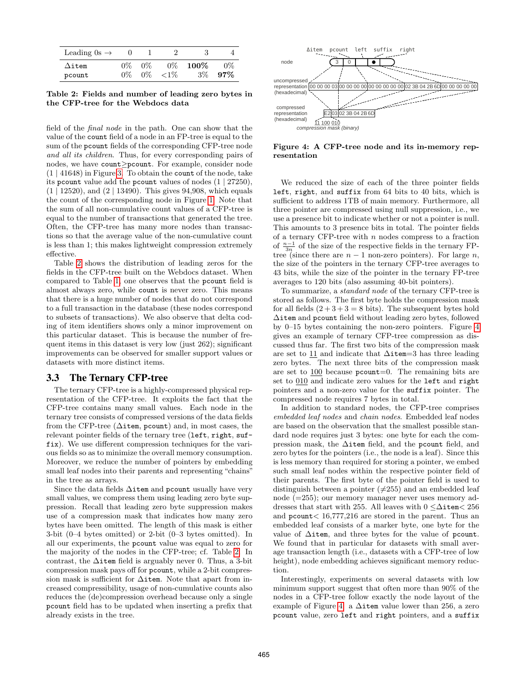| Leading $0s \rightarrow$ |    |       |          |         | 4     |
|--------------------------|----|-------|----------|---------|-------|
| $\Delta$ item            | 0% | $0\%$ | $0\%$    | $100\%$ | $0\%$ |
| pcount                   | 0% | $0\%$ | ${<}1\%$ | $3\%$   | 97%   |

<span id="page-4-0"></span>Table 2: Fields and number of leading zero bytes in the CFP-tree for the Webdocs data

field of the final node in the path. One can show that the value of the count field of a node in an FP-tree is equal to the sum of the pcount fields of the corresponding CFP-tree node and all its children. Thus, for every corresponding pairs of nodes, we have count≥pcount. For example, consider node (1 | 41648) in Figure [3.](#page-3-2) To obtain the count of the node, take its pcount value add the pcount values of nodes (1 | 27250), (1 | 12520), and (2 | 13490). This gives 94,908, which equals the count of the corresponding node in Figure [1.](#page-1-2) Note that the sum of all non-cumulative count values of a CFP-tree is equal to the number of transactions that generated the tree. Often, the CFP-tree has many more nodes than transactions so that the average value of the non-cumulative count is less than 1; this makes lightweight compression extremely effective.

Table [2](#page-4-0) shows the distribution of leading zeros for the fields in the CFP-tree built on the Webdocs dataset. When compared to Table [1,](#page-3-0) one observes that the pcount field is almost always zero, while count is never zero. This means that there is a huge number of nodes that do not correspond to a full transaction in the database (these nodes correspond to subsets of transactions). We also observe that delta coding of item identifiers shows only a minor improvement on this particular dataset. This is because the number of frequent items in this dataset is very low (just 262); significant improvements can be observed for smaller support values or datasets with more distinct items.

### 3.3 The Ternary CFP-tree

The ternary CFP-tree is a highly-compressed physical representation of the CFP-tree. It exploits the fact that the CFP-tree contains many small values. Each node in the ternary tree consists of compressed versions of the data fields from the CFP-tree ( $\Delta$ item, pcount) and, in most cases, the relevant pointer fields of the ternary tree (left, right, suffix). We use different compression techniques for the various fields so as to minimize the overall memory consumption. Moreover, we reduce the number of pointers by embedding small leaf nodes into their parents and representing "chains" in the tree as arrays.

Since the data fields ∆item and pcount usually have very small values, we compress them using leading zero byte suppression. Recall that leading zero byte suppression makes use of a compression mask that indicates how many zero bytes have been omitted. The length of this mask is either 3-bit (0–4 bytes omitted) or 2-bit (0–3 bytes omitted). In all our experiments, the pcount value was equal to zero for the majority of the nodes in the CFP-tree; cf. Table [2.](#page-4-0) In contrast, the  $\Delta$ item field is arguably never 0. Thus, a 3-bit compression mask pays off for pcount, while a 2-bit compression mask is sufficient for ∆item. Note that apart from increased compressibility, usage of non-cumulative counts also reduces the (de)compression overhead because only a single pcount field has to be updated when inserting a prefix that already exists in the tree.



<span id="page-4-1"></span>Figure 4: A CFP-tree node and its in-memory representation

We reduced the size of each of the three pointer fields left, right, and suffix from 64 bits to 40 bits, which is sufficient to address 1TB of main memory. Furthermore, all three pointer are compressed using null suppression, i.e., we use a presence bit to indicate whether or not a pointer is null. This amounts to 3 presence bits in total. The pointer fields of a ternary CFP-tree with  $\boldsymbol{n}$  nodes compress to a fraction of  $\frac{n-1}{3n}$  of the size of the respective fields in the ternary FPtree (since there are  $n-1$  non-zero pointers). For large n, the size of the pointers in the ternary CFP-tree averages to 43 bits, while the size of the pointer in the ternary FP-tree averages to 120 bits (also assuming 40-bit pointers).

To summarize, a standard node of the ternary CFP-tree is stored as follows. The first byte holds the compression mask for all fields  $(2+3+3=8 \text{ bits})$ . The subsequent bytes hold ∆item and pcount field without leading zero bytes, followed by 0–15 bytes containing the non-zero pointers. Figure [4](#page-4-1) gives an example of ternary CFP-tree compression as discussed thus far. The first two bits of the compression mask are set to 11 and indicate that ∆item=3 has three leading zero bytes. The next three bits of the compression mask are set to  $100$  because pcount=0. The remaining bits are set to 010 and indicate zero values for the left and right pointers and a non-zero value for the suffix pointer. The compressed node requires 7 bytes in total.

In addition to standard nodes, the CFP-tree comprises embedded leaf nodes and chain nodes. Embedded leaf nodes are based on the observation that the smallest possible standard node requires just 3 bytes: one byte for each the compression mask, the ∆item field, and the pcount field, and zero bytes for the pointers (i.e., the node is a leaf). Since this is less memory than required for storing a pointer, we embed such small leaf nodes within the respective pointer field of their parents. The first byte of the pointer field is used to distinguish between a pointer  $(\neq 255)$  and an embedded leaf node (=255); our memory manager never uses memory addresses that start with 255. All leaves with 0 ≤∆item< 256 and pcount< 16,777,216 are stored in the parent. Thus an embedded leaf consists of a marker byte, one byte for the value of ∆item, and three bytes for the value of pcount. We found that in particular for datasets with small average transaction length (i.e., datasets with a CFP-tree of low height), node embedding achieves significant memory reduction.

Interestingly, experiments on several datasets with low minimum support suggest that often more than 90% of the nodes in a CFP-tree follow exactly the node layout of the example of Figure [4:](#page-4-1) a  $\Delta$ item value lower than 256, a zero pcount value, zero left and right pointers, and a suffix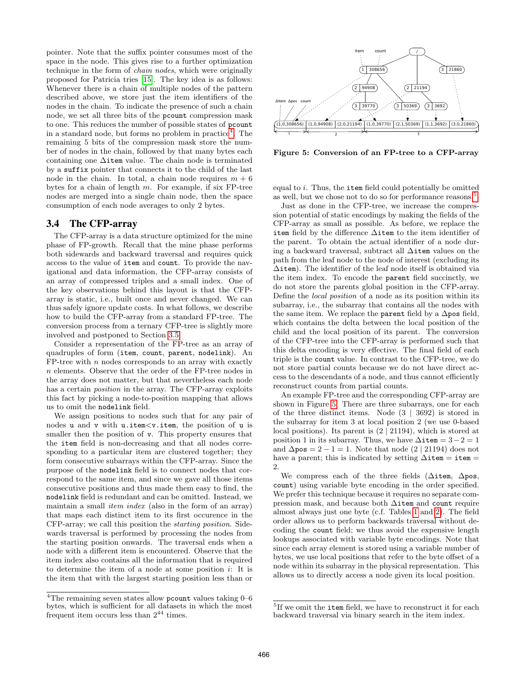pointer. Note that the suffix pointer consumes most of the space in the node. This gives rise to a further optimization technique in the form of chain nodes, which were originally proposed for Patricia tries [\[15\]](#page-11-13). The key idea is as follows: Whenever there is a chain of multiple nodes of the pattern described above, we store just the item identifiers of the nodes in the chain. To indicate the presence of such a chain node, we set all three bits of the pcount compression mask to one. This reduces the number of possible states of pcount in a standard node, but forms no problem in practice<sup>[4](#page-5-0)</sup>. The remaining 5 bits of the compression mask store the number of nodes in the chain, followed by that many bytes each containing one ∆item value. The chain node is terminated by a suffix pointer that connects it to the child of the last node in the chain. In total, a chain node requires  $m + 6$ bytes for a chain of length  $m$ . For example, if six FP-tree nodes are merged into a single chain node, then the space consumption of each node averages to only 2 bytes.

## 3.4 The CFP-array

The CFP-array is a data structure optimized for the mine phase of FP-growth. Recall that the mine phase performs both sidewards and backward traversal and requires quick access to the value of item and count. To provide the navigational and data information, the CFP-array consists of an array of compressed triples and a small index. One of the key observations behind this layout is that the CFParray is static, i.e., built once and never changed. We can thus safely ignore update costs. In what follows, we describe how to build the CFP-array from a standard FP-tree. The conversion process from a ternary CFP-tree is slightly more involved and postponed to Section [3.5.](#page-6-1)

Consider a representation of the FP-tree as an array of quadruples of form (item, count, parent, nodelink). An FP-tree with  $n$  nodes corresponds to an array with exactly n elements. Observe that the order of the FP-tree nodes in the array does not matter, but that nevertheless each node has a certain *position* in the array. The CFP-array exploits this fact by picking a node-to-position mapping that allows us to omit the nodelink field.

We assign positions to nodes such that for any pair of nodes u and v with u.item<v.item, the position of u is smaller then the position of v. This property ensures that the item field is non-decreasing and that all nodes corresponding to a particular item are clustered together; they form consecutive subarrays within the CFP-array. Since the purpose of the nodelink field is to connect nodes that correspond to the same item, and since we gave all those items consecutive positions and thus made them easy to find, the nodelink field is redundant and can be omitted. Instead, we maintain a small *item index* (also in the form of an array) that maps each distinct item to its first occurence in the CFP-array; we call this position the starting position. Sidewards traversal is performed by processing the nodes from the starting position onwards. The traversal ends when a node with a different item is encountered. Observe that the item index also contains all the information that is required to determine the item of a node at some position  $i$ : It is the item that with the largest starting position less than or



<span id="page-5-2"></span>Figure 5: Conversion of an FP-tree to a CFP-array

equal to i. Thus, the item field could potentially be omitted as well, but we chose not to do so for performance reasons.<sup>[5](#page-5-1)</sup>.

Just as done in the CFP-tree, we increase the compression potential of static encodings by making the fields of the CFP-array as small as possible. As before, we replace the item field by the difference ∆item to the item identifier of the parent. To obtain the actual identifier of a node during a backward traversal, subtract all ∆item values on the path from the leaf node to the node of interest (excluding its ∆item). The identifier of the leaf node itself is obtained via the item index. To encode the parent field succinctly, we do not store the parents global position in the CFP-array. Define the local position of a node as its position within its subarray, i.e., the subarray that contains all the nodes with the same item. We replace the parent field by a  $\Delta$ pos field, which contains the delta between the local position of the child and the local position of its parent. The conversion of the CFP-tree into the CFP-array is performed such that this delta encoding is very effective. The final field of each triple is the count value. In contrast to the CFP-tree, we do not store partial counts because we do not have direct access to the descendants of a node, and thus cannot efficiently reconstruct counts from partial counts.

An example FP-tree and the corresponding CFP-array are shown in Figure [5.](#page-5-2) There are three subarrays, one for each of the three distinct items. Node (3 | 3692) is stored in the subarray for item 3 at local position 2 (we use 0-based local positions). Its parent is (2 | 21194), which is stored at position 1 in its subarray. Thus, we have  $\Delta$ item = 3 - 2 = 1 and  $\Delta$ pos = 2 − 1 = 1. Note that node (2 | 21194) does not have a parent; this is indicated by setting  $\Delta$ item = item = 2.

We compress each of the three fields (∆item, ∆pos, count) using variable byte encoding in the order specified. We prefer this technique because it requires no separate compression mask, and because both ∆item and count require almost always just one byte (c.f. Tables [1](#page-3-0) and [2\)](#page-4-0). The field order allows us to perform backwards traversal without decoding the count field; we thus avoid the expensive length lookups associated with variable byte encodings. Note that since each array element is stored using a variable number of bytes, we use local positions that refer to the byte offset of a node within its subarray in the physical representation. This allows us to directly access a node given its local position.

<span id="page-5-0"></span> $4$ The remaining seven states allow pcount values taking  $0-6$ bytes, which is sufficient for all datasets in which the most frequent item occurs less than  $2^{44}$  times.

<span id="page-5-1"></span><sup>&</sup>lt;sup>5</sup>If we omit the item field, we have to reconstruct it for each backward traversal via binary search in the item index.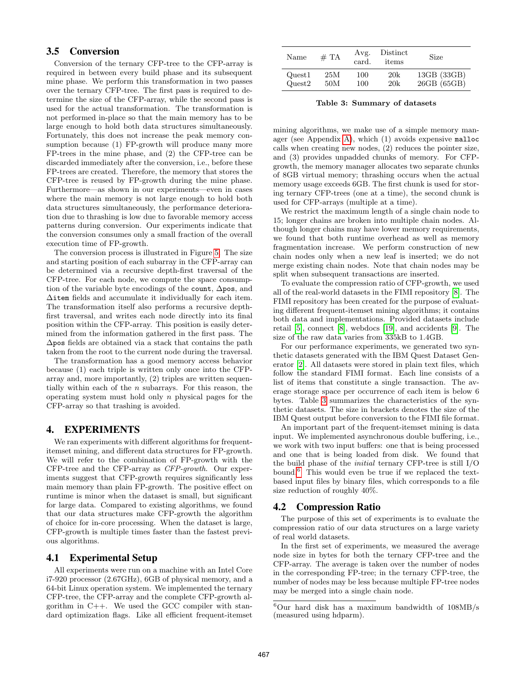## <span id="page-6-1"></span>3.5 Conversion

Conversion of the ternary CFP-tree to the CFP-array is required in between every build phase and its subsequent mine phase. We perform this transformation in two passes over the ternary CFP-tree. The first pass is required to determine the size of the CFP-array, while the second pass is used for the actual transformation. The transformation is not performed in-place so that the main memory has to be large enough to hold both data structures simultaneously. Fortunately, this does not increase the peak memory consumption because (1) FP-growth will produce many more FP-trees in the mine phase, and (2) the CFP-tree can be discarded immediately after the conversion, i.e., before these FP-trees are created. Therefore, the memory that stores the CFP-tree is reused by FP-growth during the mine phase. Furthermore—as shown in our experiments—even in cases where the main memory is not large enough to hold both data structures simultaneously, the performance deterioration due to thrashing is low due to favorable memory access patterns during conversion. Our experiments indicate that the conversion consumes only a small fraction of the overall execution time of FP-growth.

The conversion process is illustrated in Figure [5.](#page-5-2) The size and starting position of each subarray in the CFP-array can be determined via a recursive depth-first traversal of the CFP-tree. For each node, we compute the space consumption of the variable byte encodings of the count, ∆pos, and ∆item fields and accumulate it individually for each item. The transformation itself also performs a recursive depthfirst traversal, and writes each node directly into its final position within the CFP-array. This position is easily determined from the information gathered in the first pass. The ∆pos fields are obtained via a stack that contains the path taken from the root to the current node during the traversal.

The transformation has a good memory access behavior because (1) each triple is written only once into the CFParray and, more importantly, (2) triples are written sequentially within each of the  $n$  subarrays. For this reason, the operating system must hold only  $n$  physical pages for the CFP-array so that trashing is avoided.

### <span id="page-6-0"></span>4. EXPERIMENTS

We ran experiments with different algorithms for frequentitemset mining, and different data structures for FP-growth. We will refer to the combination of FP-growth with the CFP-tree and the CFP-array as CFP-growth. Our experiments suggest that CFP-growth requires significantly less main memory than plain FP-growth. The positive effect on runtime is minor when the dataset is small, but significant for large data. Compared to existing algorithms, we found that our data structures make CFP-growth the algorithm of choice for in-core processing. When the dataset is large, CFP-growth is multiple times faster than the fastest previous algorithms.

### 4.1 Experimental Setup

All experiments were run on a machine with an Intel Core i7-920 processor (2.67GHz), 6GB of physical memory, and a 64-bit Linux operation system. We implemented the ternary CFP-tree, the CFP-array and the complete CFP-growth algorithm in C++. We used the GCC compiler with standard optimization flags. Like all efficient frequent-itemset

| Name         | # TA | Avg.<br>card. | Distinct<br>items | Size        |
|--------------|------|---------------|-------------------|-------------|
| $Q$ uest1    | 25M  | 100           | 20k               | 13GB (33GB) |
| $Q$ uest $2$ | 50M  | 100           | 20k               | 26GB (65GB) |

<span id="page-6-2"></span>Table 3: Summary of datasets

mining algorithms, we make use of a simple memory manager (see Appendix [A\)](#page-11-14), which (1) avoids expensive malloc calls when creating new nodes, (2) reduces the pointer size, and (3) provides unpadded chunks of memory. For CFPgrowth, the memory manager allocates two separate chunks of 8GB virtual memory; thrashing occurs when the actual memory usage exceeds 6GB. The first chunk is used for storing ternary CFP-trees (one at a time), the second chunk is used for CFP-arrays (multiple at a time).

We restrict the maximum length of a single chain node to 15; longer chains are broken into multiple chain nodes. Although longer chains may have lower memory requirements, we found that both runtime overhead as well as memory fragmentation increase. We perform construction of new chain nodes only when a new leaf is inserted; we do not merge existing chain nodes. Note that chain nodes may be split when subsequent transactions are inserted.

To evaluate the compression ratio of CFP-growth, we used all of the real-world datasets in the FIMI repository [\[8\]](#page-11-6). The FIMI repository has been created for the purpose of evaluating different frequent-itemset mining algorithms; it contains both data and implementations. Provided datasets include retail [\[5\]](#page-10-5), connect [\[8\]](#page-11-6), webdocs [\[19\]](#page-11-12), and accidents [\[9\]](#page-11-15). The size of the raw data varies from 335kB to 1.4GB.

For our performance experiments, we generated two synthetic datasets generated with the IBM Quest Dataset Generator [\[2\]](#page-10-6). All datasets were stored in plain text files, which follow the standard FIMI format. Each line consists of a list of items that constitute a single transaction. The average storage space per occurrence of each item is below 6 bytes. Table [3](#page-6-2) summarizes the characteristics of the synthetic datasets. The size in brackets denotes the size of the IBM Quest output before conversion to the FIMI file format.

An important part of the frequent-itemset mining is data input. We implemented asynchronous double buffering, i.e., we work with two input buffers: one that is being processed and one that is being loaded from disk. We found that the build phase of the initial ternary CFP-tree is still I/O bound.[6](#page-6-3) This would even be true if we replaced the textbased input files by binary files, which corresponds to a file size reduction of roughly 40%.

### 4.2 Compression Ratio

The purpose of this set of experiments is to evaluate the compression ratio of our data structures on a large variety of real world datasets.

In the first set of experiments, we measured the average node size in bytes for both the ternary CFP-tree and the CFP-array. The average is taken over the number of nodes in the corresponding FP-tree; in the ternary CFP-tree, the number of nodes may be less because multiple FP-tree nodes may be merged into a single chain node.

<span id="page-6-3"></span> $6$ Our hard disk has a maximum bandwidth of  $108MB/s$ (measured using hdparm).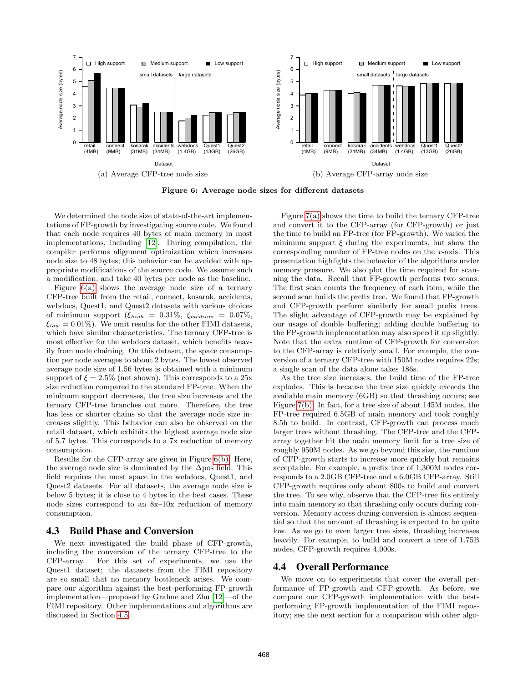<span id="page-7-0"></span>

Figure 6: Average node sizes for different datasets

We determined the node size of state-of-the-art implementations of FP-growth by investigating source code. We found that each node requires 40 bytes of main memory in most implementations, including [\[12\]](#page-11-11). During compilation, the compiler performs alignment optimization which increases node size to 48 bytes; this behavior can be avoided with appropriate modifications of the source code. We assume such a modification, and take 40 bytes per node as the baseline.

Figure [6\(a\)](#page-7-0) shows the average node size of a ternary CFP-tree built from the retail, connect, kosarak, accidents, webdocs, Quest1, and Quest2 datasets with various choices of minimum support  $(\xi_{high} = 0.31\%, \xi_{medium} = 0.07\%,$  $\xi_{low} = 0.01\%$ . We omit results for the other FIMI datasets, which have similar characteristics. The ternary CFP-tree is most effective for the webdocs dataset, which benefits heavily from node chaining. On this dataset, the space consumption per node averages to about 2 bytes. The lowest observed average node size of 1.56 bytes is obtained with a minimum support of  $\xi = 2.5\%$  (not shown). This corresponds to a 25x size reduction compared to the standard FP-tree. When the minimum support decreases, the tree size increases and the ternary CFP-tree branches out more. Therefore, the tree has less or shorter chains so that the average node size increases slightly. This behavior can also be observed on the retail dataset, which exhibits the highest average node size of 5.7 bytes. This corresponds to a 7x reduction of memory consumption.

Results for the CFP-array are given in Figure [6\(b\).](#page-7-1) Here, the average node size is dominated by the ∆pos field. This field requires the most space in the webdocs, Quest1, and Quest2 datasets. For all datasets, the average node size is below 5 bytes; it is close to 4 bytes in the best cases. These node sizes correspond to an 8x–10x reduction of memory consumption.

### 4.3 Build Phase and Conversion

We next investigated the build phase of CFP-growth, including the conversion of the ternary CFP-tree to the CFP-array. For this set of experiments, we use the Quest1 dataset; the datasets from the FIMI repository are so small that no memory bottleneck arises. We compare our algorithm against the best-performing FP-growth implementation—proposed by Grahne and Zhu [\[12\]](#page-11-11)—of the FIMI repository. Other implementations and algorithms are discussed in Section [4.5.](#page-9-0)

<span id="page-7-1"></span>Figure [7\(a\)](#page-8-0) shows the time to build the ternary CFP-tree and convert it to the CFP-array (for CFP-growth) or just the time to build an FP-tree (for FP-growth). We varied the minimum support  $\xi$  during the experiments, but show the corresponding number of  $FP$ -tree nodes on the x-axis. This presentation highlights the behavior of the algorithms under memory pressure. We also plot the time required for scanning the data. Recall that FP-growth performs two scans: The first scan counts the frequency of each item, while the second scan builds the prefix tree. We found that FP-growth and CFP-growth perform similarly for small prefix trees. The slight advantage of CFP-growth may be explained by our usage of double buffering; adding double buffering to the FP-growth implementation may also speed it up slightly. Note that the extra runtime of CFP-growth for conversion to the CFP-array is relatively small. For example, the conversion of a ternary CFP-tree with 150M nodes requires 22s; a single scan of the data alone takes 186s.

As the tree size increases, the build time of the FP-tree explodes. This is because the tree size quickly exceeds the available main memory (6GB) so that thrashing occurs; see Figure [7\(b\).](#page-8-1) In fact, for a tree size of about 145M nodes, the FP-tree required 6.5GB of main memory and took roughly 8.5h to build. In contrast, CFP-growth can process much larger trees without thrashing. The CFP-tree and the CFParray together hit the main memory limit for a tree size of roughly 950M nodes. As we go beyond this size, the runtime of CFP-growth starts to increase more quickly but remains acceptable. For example, a prefix tree of 1,300M nodes corresponds to a 2.0GB CFP-tree and a 6.0GB CFP-array. Still CFP-growth requires only about 800s to build and convert the tree. To see why, observe that the CFP-tree fits entirely into main memory so that thrashing only occurs during conversion. Memory access during conversion is almost sequential so that the amount of thrashing is expected to be quite low. As we go to even larger tree sizes, thrashing increases heavily. For example, to build and convert a tree of 1.75B nodes, CFP-growth requires 4,000s.

### 4.4 Overall Performance

We move on to experiments that cover the overall performance of FP-growth and CFP-growth. As before, we compare our CFP-growth implementation with the bestperforming FP-growth implementation of the FIMI repository; see the next section for a comparison with other algo-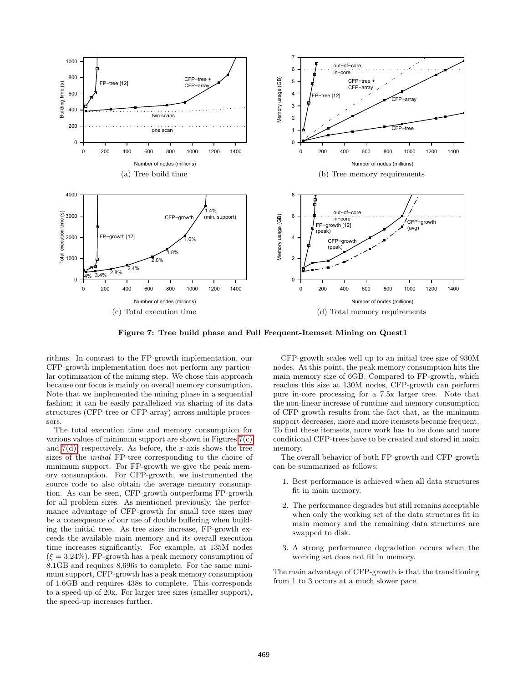<span id="page-8-0"></span>

Figure 7: Tree build phase and Full Frequent-Itemset Mining on Quest1

<span id="page-8-2"></span>rithms. In contrast to the FP-growth implementation, our CFP-growth implementation does not perform any particular optimization of the mining step. We chose this approach because our focus is mainly on overall memory consumption. Note that we implemented the mining phase in a sequential fashion; it can be easily parallelized via sharing of its data structures (CFP-tree or CFP-array) across multiple processors.

The total execution time and memory consumption for various values of minimum support are shown in Figures [7\(c\)](#page-8-2) and  $7(d)$ , respectively. As before, the x-axis shows the tree sizes of the initial FP-tree corresponding to the choice of minimum support. For FP-growth we give the peak memory consumption. For CFP-growth, we instrumented the source code to also obtain the average memory consumption. As can be seen, CFP-growth outperforms FP-growth for all problem sizes. As mentioned previously, the performance advantage of CFP-growth for small tree sizes may be a consequence of our use of double buffering when building the initial tree. As tree sizes increase, FP-growth exceeds the available main memory and its overall execution time increases significantly. For example, at 135M nodes  $(\xi = 3.24\%)$ , FP-growth has a peak memory consumption of 8.1GB and requires 8,696s to complete. For the same minimum support, CFP-growth has a peak memory consumption of 1.6GB and requires 438s to complete. This corresponds to a speed-up of 20x. For larger tree sizes (smaller support), the speed-up increases further.

<span id="page-8-3"></span><span id="page-8-1"></span>CFP-growth scales well up to an initial tree size of 930M nodes. At this point, the peak memory consumption hits the main memory size of 6GB. Compared to FP-growth, which reaches this size at 130M nodes, CFP-growth can perform pure in-core processing for a 7.5x larger tree. Note that the non-linear increase of runtime and memory consumption of CFP-growth results from the fact that, as the minimum support decreases, more and more itemsets become frequent. To find these itemsets, more work has to be done and more conditional CFP-trees have to be created and stored in main memory.

The overall behavior of both FP-growth and CFP-growth can be summarized as follows:

- 1. Best performance is achieved when all data structures fit in main memory.
- 2. The performance degrades but still remains acceptable when only the working set of the data structures fit in main memory and the remaining data structures are swapped to disk.
- 3. A strong performance degradation occurs when the working set does not fit in memory.

The main advantage of CFP-growth is that the transitioning from 1 to 3 occurs at a much slower pace.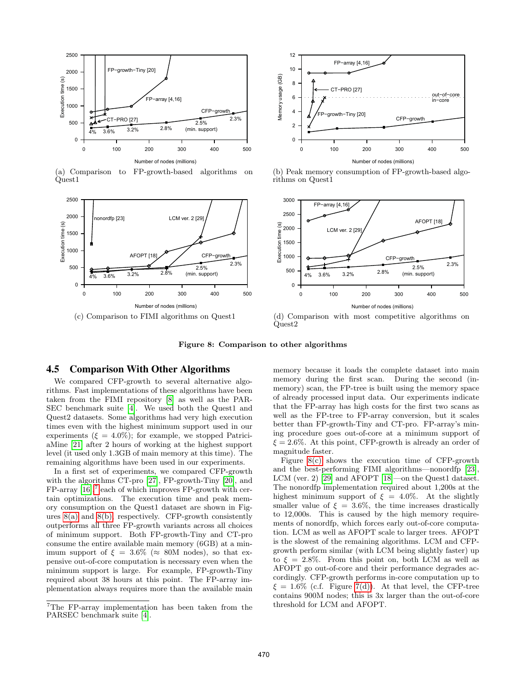<span id="page-9-2"></span>

(a) Comparison to FP-growth-based algorithms on Quest1

<span id="page-9-4"></span>



<span id="page-9-3"></span>(b) Peak memory consumption of FP-growth-based algorithms on Quest1



<span id="page-9-5"></span>(d) Comparison with most competitive algorithms on Quest2

Figure 8: Comparison to other algorithms

## <span id="page-9-0"></span>4.5 Comparison With Other Algorithms

We compared CFP-growth to several alternative algorithms. Fast implementations of these algorithms have been taken from the FIMI repository [\[8\]](#page-11-6) as well as the PAR-SEC benchmark suite [\[4\]](#page-10-7). We used both the Quest1 and Quest2 datasets. Some algorithms had very high execution times even with the highest minimum support used in our experiments ( $\xi = 4.0\%$ ); for example, we stopped PatriciaMine [\[21\]](#page-11-16) after 2 hours of working at the highest support level (it used only 1.3GB of main memory at this time). The remaining algorithms have been used in our experiments.

In a first set of experiments, we compared CFP-growth with the algorithms CT-pro [\[27\]](#page-11-17), FP-growth-Tiny [\[20\]](#page-11-18), and  $FP\text{-}array$  [\[16\]](#page-11-7),<sup>[7](#page-9-1)</sup> each of which improves FP-growth with certain optimizations. The execution time and peak memory consumption on the Quest1 dataset are shown in Figures [8\(a\)](#page-9-2) and [8\(b\),](#page-9-3) respectively. CFP-growth consistently outperforms all three FP-growth variants across all choices of minimum support. Both FP-growth-Tiny and CT-pro consume the entire available main memory (6GB) at a minimum support of  $\xi = 3.6\%$  ( $\approx 80$ M nodes), so that expensive out-of-core computation is necessary even when the minimum support is large. For example, FP-growth-Tiny required about 38 hours at this point. The FP-array implementation always requires more than the available main memory because it loads the complete dataset into main memory during the first scan. During the second (inmemory) scan, the FP-tree is built using the memory space of already processed input data. Our experiments indicate that the FP-array has high costs for the first two scans as well as the FP-tree to FP-array conversion, but it scales better than FP-growth-Tiny and CT-pro. FP-array's mining procedure goes out-of-core at a minimum support of  $\xi = 2.6\%$ . At this point, CFP-growth is already an order of magnitude faster.

Figure [8\(c\)](#page-9-4) shows the execution time of CFP-growth and the best-performing FIMI algorithms—nonordfp [\[23\]](#page-11-19), LCM (ver. 2) [\[29\]](#page-11-20) and AFOPT [\[18\]](#page-11-21)—on the Quest1 dataset. The nonordfp implementation required about 1,200s at the highest minimum support of  $\xi = 4.0\%$ . At the slightly smaller value of  $\xi = 3.6\%$ , the time increases drastically to 12,000s. This is caused by the high memory requirements of nonordfp, which forces early out-of-core computation. LCM as well as AFOPT scale to larger trees. AFOPT is the slowest of the remaining algorithms. LCM and CFPgrowth perform similar (with LCM being slightly faster) up to  $\xi = 2.8\%$ . From this point on, both LCM as well as AFOPT go out-of-core and their performance degrades accordingly. CFP-growth performs in-core computation up to  $\xi = 1.6\%$  (c.f. Figure [7\(d\)\)](#page-8-3). At that level, the CFP-tree contains 900M nodes; this is 3x larger than the out-of-core threshold for LCM and AFOPT.

<span id="page-9-1"></span><sup>7</sup>The FP-array implementation has been taken from the PARSEC benchmark suite [\[4\]](#page-10-7).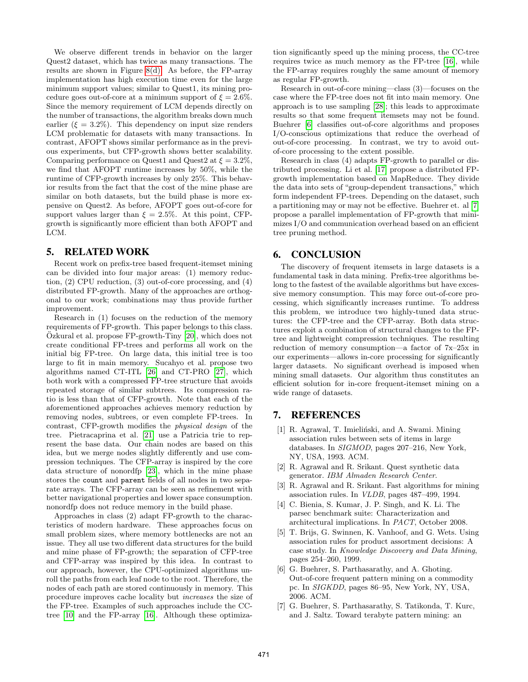We observe different trends in behavior on the larger Quest2 dataset, which has twice as many transactions. The results are shown in Figure  $8(d)$ . As before, the FP-array implementation has high execution time even for the large minimum support values; similar to Quest1, its mining procedure goes out-of-core at a minimum support of  $\xi = 2.6\%$ . Since the memory requirement of LCM depends directly on the number of transactions, the algorithm breaks down much earlier ( $\xi = 3.2\%$ ). This dependency on input size renders LCM problematic for datasets with many transactions. In contrast, AFOPT shows similar performance as in the previous experiments, but CFP-growth shows better scalability. Comparing performance on Quest1 and Quest2 at  $\xi = 3.2\%$ , we find that AFOPT runtime increases by 50%, while the runtime of CFP-growth increases by only 25%. This behavior results from the fact that the cost of the mine phase are similar on both datasets, but the build phase is more expensive on Quest2. As before, AFOPT goes out-of-core for support values larger than  $\xi = 2.5\%$ . At this point, CFPgrowth is significantly more efficient than both AFOPT and LCM.

### <span id="page-10-2"></span>5. RELATED WORK

Recent work on prefix-tree based frequent-itemset mining can be divided into four major areas: (1) memory reduction, (2) CPU reduction, (3) out-of-core processing, and (4) distributed FP-growth. Many of the approaches are orthogonal to our work; combinations may thus provide further improvement.

Research in (1) focuses on the reduction of the memory requirements of FP-growth. This paper belongs to this class.  $Oz$ kural et al. propose FP-growth-Tiny  $[20]$ , which does not create conditional FP-trees and performs all work on the initial big FP-tree. On large data, this initial tree is too large to fit in main memory. Sucahyo et al. propose two algorithms named CT-ITL [\[26\]](#page-11-22) and CT-PRO [\[27\]](#page-11-17), which both work with a compressed FP-tree structure that avoids repeated storage of similar subtrees. Its compression ratio is less than that of CFP-growth. Note that each of the aforementioned approaches achieves memory reduction by removing nodes, subtrees, or even complete FP-trees. In contrast, CFP-growth modifies the physical design of the tree. Pietracaprina et al. [\[21\]](#page-11-16) use a Patricia trie to represent the base data. Our chain nodes are based on this idea, but we merge nodes slightly differently and use compression techniques. The CFP-array is inspired by the core data structure of nonordfp [\[23\]](#page-11-19), which in the mine phase stores the count and parent fields of all nodes in two separate arrays. The CFP-array can be seen as refinement with better navigational properties and lower space consumption. nonordfp does not reduce memory in the build phase.

Approaches in class (2) adapt FP-growth to the characteristics of modern hardware. These approaches focus on small problem sizes, where memory bottlenecks are not an issue. They all use two different data structures for the build and mine phase of FP-growth; the separation of CFP-tree and CFP-array was inspired by this idea. In contrast to our approach, however, the CPU-optimized algorithms unroll the paths from each leaf node to the root. Therefore, the nodes of each path are stored continuously in memory. This procedure improves cache locality but increases the size of the FP-tree. Examples of such approaches include the CCtree [\[10\]](#page-11-23) and the FP-array [\[16\]](#page-11-7). Although these optimization significantly speed up the mining process, the CC-tree requires twice as much memory as the FP-tree [\[16\]](#page-11-7), while the FP-array requires roughly the same amount of memory as regular FP-growth.

Research in out-of-core mining—class (3)—focuses on the case where the FP-tree does not fit into main memory. One approach is to use sampling [\[28\]](#page-11-24); this leads to approximate results so that some frequent itemsets may not be found. Buehrer [\[6\]](#page-10-3) classifies out-of-core algorithms and proposes I/O-conscious optimizations that reduce the overhead of out-of-core processing. In contrast, we try to avoid outof-core processing to the extent possible.

Research in class (4) adapts FP-growth to parallel or distributed processing. Li et al. [\[17\]](#page-11-25) propose a distributed FPgrowth implementation based on MapReduce. They divide the data into sets of "group-dependent transactions," which form independent FP-trees. Depending on the dataset, such a partitioning may or may not be effective. Buehrer et. al [\[7\]](#page-10-8) propose a parallel implementation of FP-growth that minimizes I/O and communication overhead based on an efficient tree pruning method.

## <span id="page-10-4"></span>6. CONCLUSION

The discovery of frequent itemsets in large datasets is a fundamental task in data mining. Prefix-tree algorithms belong to the fastest of the available algorithms but have excessive memory consumption. This may force out-of-core processing, which significantly increases runtime. To address this problem, we introduce two highly-tuned data structures: the CFP-tree and the CFP-array. Both data structures exploit a combination of structural changes to the FPtree and lightweight compression techniques. The resulting reduction of memory consumption—a factor of 7x–25x in our experiments—allows in-core processing for significantly larger datasets. No significant overhead is imposed when mining small datasets. Our algorithm thus constitutes an efficient solution for in-core frequent-itemset mining on a wide range of datasets.

## 7. REFERENCES

- <span id="page-10-0"></span>[1] R. Agrawal, T. Imieliński, and A. Swami. Mining association rules between sets of items in large databases. In SIGMOD, pages 207–216, New York, NY, USA, 1993. ACM.
- <span id="page-10-6"></span>[2] R. Agrawal and R. Srikant. Quest synthetic data generator. IBM Almaden Research Center.
- <span id="page-10-1"></span>[3] R. Agrawal and R. Srikant. Fast algorithms for mining association rules. In VLDB, pages 487–499, 1994.
- <span id="page-10-7"></span>[4] C. Bienia, S. Kumar, J. P. Singh, and K. Li. The parsec benchmark suite: Characterization and architectural implications. In PACT, October 2008.
- <span id="page-10-5"></span>[5] T. Brijs, G. Swinnen, K. Vanhoof, and G. Wets. Using association rules for product assortment decisions: A case study. In Knowledge Discovery and Data Mining, pages 254–260, 1999.
- <span id="page-10-3"></span>[6] G. Buehrer, S. Parthasarathy, and A. Ghoting. Out-of-core frequent pattern mining on a commodity pc. In SIGKDD, pages 86–95, New York, NY, USA, 2006. ACM.
- <span id="page-10-8"></span>[7] G. Buehrer, S. Parthasarathy, S. Tatikonda, T. Kurc, and J. Saltz. Toward terabyte pattern mining: an